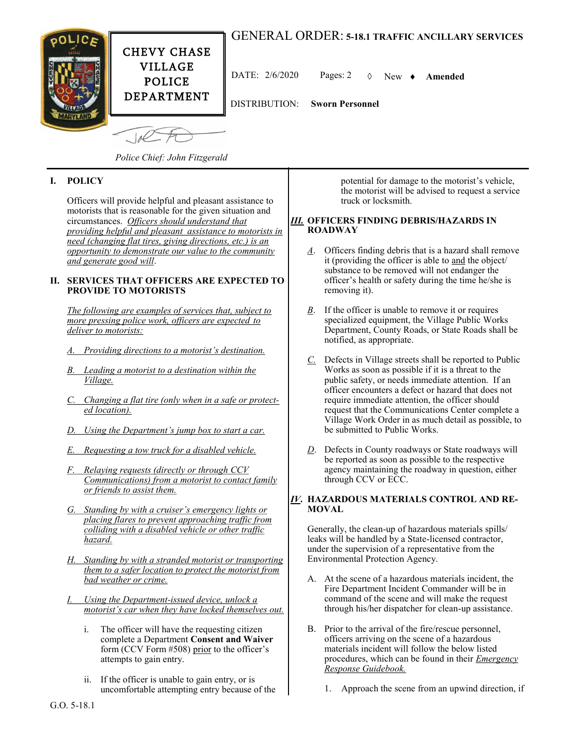# GENERAL ORDER: **5-18.1 TRAFFIC ANCILLARY SERVICES**



DATE: 2/6/2020 Pages: 2 New **Amended**

DISTRIBUTION: **Sworn Personnel**

*Police Chief: John Fitzgerald*

# **I. POLICY**

Officers will provide helpful and pleasant assistance to motorists that is reasonable for the given situation and circumstances. *Officers should understand that providing helpful and pleasant assistance to motorists in need (changing flat tires, giving directions, etc.) is an opportunity to demonstrate our value to the community and generate good will*.

#### **II. SERVICES THAT OFFICERS ARE EXPECTED TO PROVIDE TO MOTORISTS**

*The following are examples of services that, subject to more pressing police work, officers are expected to deliver to motorists:*

- *A. Providing directions to a motorist's destination.*
- *B. Leading a motorist to a destination within the Village.*
- *C. Changing a flat tire (only when in a safe or protected location).*
- *D. Using the Department's jump box to start a car.*
- *E. Requesting a tow truck for a disabled vehicle.*
- *F. Relaying requests (directly or through CCV Communications) from a motorist to contact family or friends to assist them.*
- *G. Standing by with a cruiser's emergency lights or placing flares to prevent approaching traffic from colliding with a disabled vehicle or other traffic hazard.*
- *H. Standing by with a stranded motorist or transporting them to a safer location to protect the motorist from bad weather or crime.*
- *I. Using the Department-issued device, unlock a motorist's car when they have locked themselves out.*
	- i. The officer will have the requesting citizen complete a Department **Consent and Waiver** form (CCV Form #508) prior to the officer's attempts to gain entry.
	- ii. If the officer is unable to gain entry, or is uncomfortable attempting entry because of the

potential for damage to the motorist's vehicle, the motorist will be advised to request a service truck or locksmith.

#### *III.* **OFFICERS FINDING DEBRIS/HAZARDS IN ROADWAY**

- *A*. Officers finding debris that is a hazard shall remove it (providing the officer is able to and the object/ substance to be removed will not endanger the officer's health or safety during the time he/she is removing it).
- *B*. If the officer is unable to remove it or requires specialized equipment, the Village Public Works Department, County Roads, or State Roads shall be notified, as appropriate.
- *C.* Defects in Village streets shall be reported to Public Works as soon as possible if it is a threat to the public safety, or needs immediate attention. If an officer encounters a defect or hazard that does not require immediate attention, the officer should request that the Communications Center complete a Village Work Order in as much detail as possible, to be submitted to Public Works.
- *D*. Defects in County roadways or State roadways will be reported as soon as possible to the respective agency maintaining the roadway in question, either through CCV or ECC.

## *IV***. HAZARDOUS MATERIALS CONTROL AND RE-MOVAL**

Generally, the clean-up of hazardous materials spills/ leaks will be handled by a State-licensed contractor, under the supervision of a representative from the Environmental Protection Agency.

- A. At the scene of a hazardous materials incident, the Fire Department Incident Commander will be in command of the scene and will make the request through his/her dispatcher for clean-up assistance.
- B. Prior to the arrival of the fire/rescue personnel, officers arriving on the scene of a hazardous materials incident will follow the below listed procedures, which can be found in their *Emergency Response Guidebook.*
	- 1. Approach the scene from an upwind direction, if